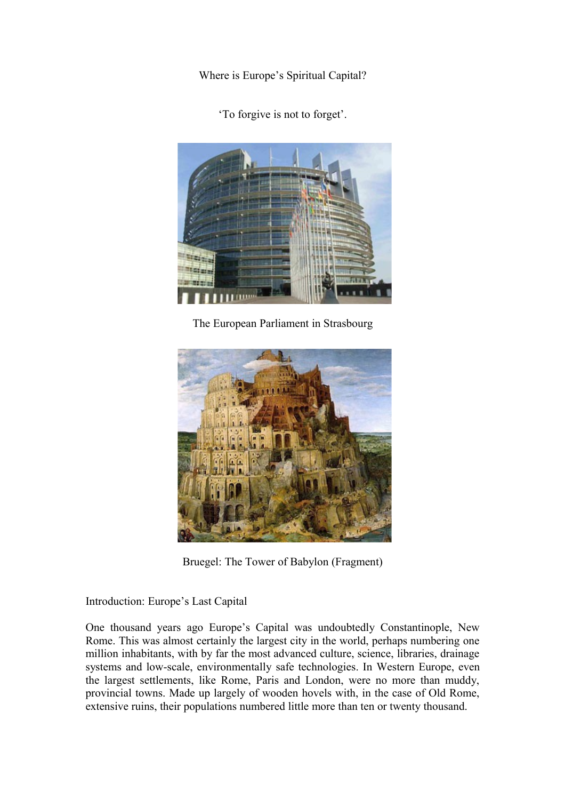Where is Europe's Spiritual Capital?

'To forgive is not to forget'.



The European Parliament in Strasbourg



Bruegel: The Tower of Babylon (Fragment)

Introduction: Europe's Last Capital

One thousand years ago Europe's Capital was undoubtedly Constantinople, New Rome. This was almost certainly the largest city in the world, perhaps numbering one million inhabitants, with by far the most advanced culture, science, libraries, drainage systems and low-scale, environmentally safe technologies. In Western Europe, even the largest settlements, like Rome, Paris and London, were no more than muddy, provincial towns. Made up largely of wooden hovels with, in the case of Old Rome, extensive ruins, their populations numbered little more than ten or twenty thousand.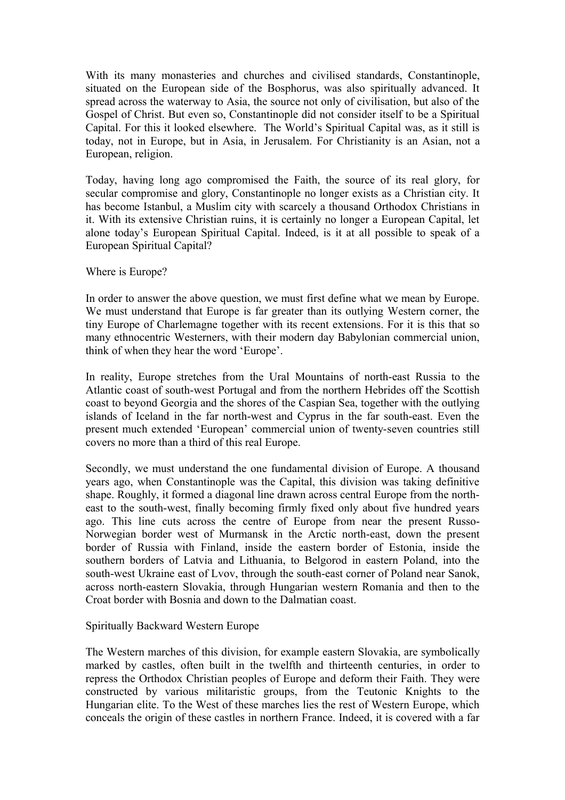With its many monasteries and churches and civilised standards, Constantinople, situated on the European side of the Bosphorus, was also spiritually advanced. It spread across the waterway to Asia, the source not only of civilisation, but also of the Gospel of Christ. But even so, Constantinople did not consider itself to be a Spiritual Capital. For this it looked elsewhere. The World's Spiritual Capital was, as it still is today, not in Europe, but in Asia, in Jerusalem. For Christianity is an Asian, not a European, religion.

Today, having long ago compromised the Faith, the source of its real glory, for secular compromise and glory, Constantinople no longer exists as a Christian city. It has become Istanbul, a Muslim city with scarcely a thousand Orthodox Christians in it. With its extensive Christian ruins, it is certainly no longer a European Capital, let alone today's European Spiritual Capital. Indeed, is it at all possible to speak of a European Spiritual Capital?

# Where is Europe?

In order to answer the above question, we must first define what we mean by Europe. We must understand that Europe is far greater than its outlying Western corner, the tiny Europe of Charlemagne together with its recent extensions. For it is this that so many ethnocentric Westerners, with their modern day Babylonian commercial union, think of when they hear the word 'Europe'.

In reality, Europe stretches from the Ural Mountains of north-east Russia to the Atlantic coast of south-west Portugal and from the northern Hebrides off the Scottish coast to beyond Georgia and the shores of the Caspian Sea, together with the outlying islands of Iceland in the far north-west and Cyprus in the far south-east. Even the present much extended 'European' commercial union of twenty-seven countries still covers no more than a third of this real Europe.

Secondly, we must understand the one fundamental division of Europe. A thousand years ago, when Constantinople was the Capital, this division was taking definitive shape. Roughly, it formed a diagonal line drawn across central Europe from the northeast to the south-west, finally becoming firmly fixed only about five hundred years ago. This line cuts across the centre of Europe from near the present Russo-Norwegian border west of Murmansk in the Arctic north-east, down the present border of Russia with Finland, inside the eastern border of Estonia, inside the southern borders of Latvia and Lithuania, to Belgorod in eastern Poland, into the south-west Ukraine east of Lvov, through the south-east corner of Poland near Sanok, across north-eastern Slovakia, through Hungarian western Romania and then to the Croat border with Bosnia and down to the Dalmatian coast.

## Spiritually Backward Western Europe

The Western marches of this division, for example eastern Slovakia, are symbolically marked by castles, often built in the twelfth and thirteenth centuries, in order to repress the Orthodox Christian peoples of Europe and deform their Faith. They were constructed by various militaristic groups, from the Teutonic Knights to the Hungarian elite. To the West of these marches lies the rest of Western Europe, which conceals the origin of these castles in northern France. Indeed, it is covered with a far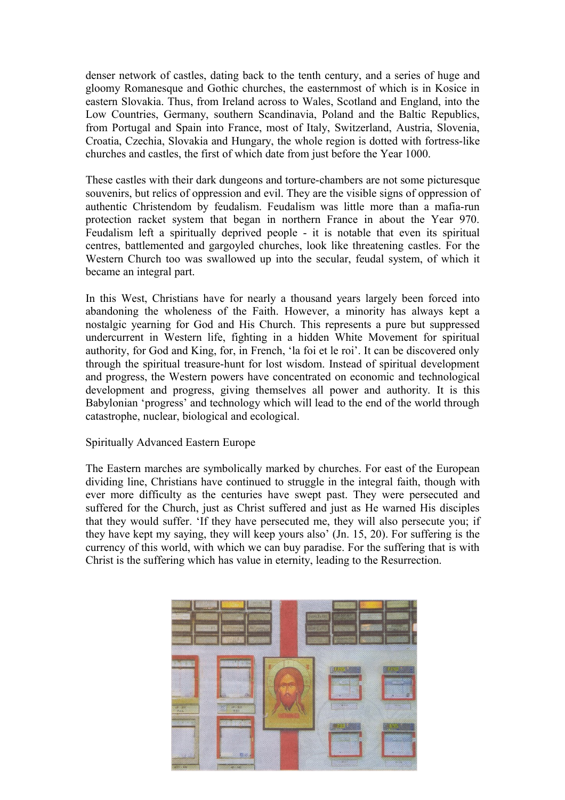denser network of castles, dating back to the tenth century, and a series of huge and gloomy Romanesque and Gothic churches, the easternmost of which is in Kosice in eastern Slovakia. Thus, from Ireland across to Wales, Scotland and England, into the Low Countries, Germany, southern Scandinavia, Poland and the Baltic Republics, from Portugal and Spain into France, most of Italy, Switzerland, Austria, Slovenia, Croatia, Czechia, Slovakia and Hungary, the whole region is dotted with fortress-like churches and castles, the first of which date from just before the Year 1000.

These castles with their dark dungeons and torture-chambers are not some picturesque souvenirs, but relics of oppression and evil. They are the visible signs of oppression of authentic Christendom by feudalism. Feudalism was little more than a mafia-run protection racket system that began in northern France in about the Year 970. Feudalism left a spiritually deprived people - it is notable that even its spiritual centres, battlemented and gargoyled churches, look like threatening castles. For the Western Church too was swallowed up into the secular, feudal system, of which it became an integral part.

In this West, Christians have for nearly a thousand years largely been forced into abandoning the wholeness of the Faith. However, a minority has always kept a nostalgic yearning for God and His Church. This represents a pure but suppressed undercurrent in Western life, fighting in a hidden White Movement for spiritual authority, for God and King, for, in French, 'la foi et le roi'. It can be discovered only through the spiritual treasure-hunt for lost wisdom. Instead of spiritual development and progress, the Western powers have concentrated on economic and technological development and progress, giving themselves all power and authority. It is this Babylonian 'progress' and technology which will lead to the end of the world through catastrophe, nuclear, biological and ecological.

## Spiritually Advanced Eastern Europe

The Eastern marches are symbolically marked by churches. For east of the European dividing line, Christians have continued to struggle in the integral faith, though with ever more difficulty as the centuries have swept past. They were persecuted and suffered for the Church, just as Christ suffered and just as He warned His disciples that they would suffer. 'If they have persecuted me, they will also persecute you; if they have kept my saying, they will keep yours also' (Jn. 15, 20). For suffering is the currency of this world, with which we can buy paradise. For the suffering that is with Christ is the suffering which has value in eternity, leading to the Resurrection.

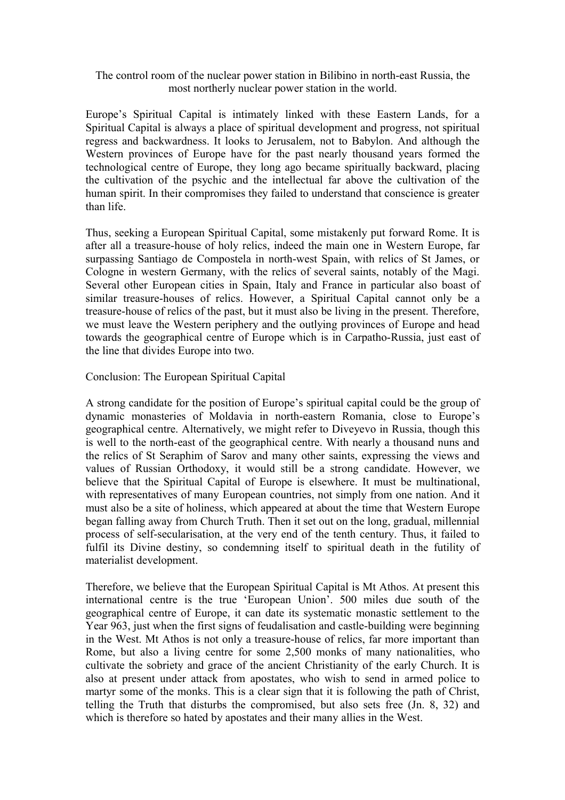## The control room of the nuclear power station in Bilibino in north-east Russia, the most northerly nuclear power station in the world.

Europe's Spiritual Capital is intimately linked with these Eastern Lands, for a Spiritual Capital is always a place of spiritual development and progress, not spiritual regress and backwardness. It looks to Jerusalem, not to Babylon. And although the Western provinces of Europe have for the past nearly thousand years formed the technological centre of Europe, they long ago became spiritually backward, placing the cultivation of the psychic and the intellectual far above the cultivation of the human spirit. In their compromises they failed to understand that conscience is greater than life.

Thus, seeking a European Spiritual Capital, some mistakenly put forward Rome. It is after all a treasure-house of holy relics, indeed the main one in Western Europe, far surpassing Santiago de Compostela in north-west Spain, with relics of St James, or Cologne in western Germany, with the relics of several saints, notably of the Magi. Several other European cities in Spain, Italy and France in particular also boast of similar treasure-houses of relics. However, a Spiritual Capital cannot only be a treasure-house of relics of the past, but it must also be living in the present. Therefore, we must leave the Western periphery and the outlying provinces of Europe and head towards the geographical centre of Europe which is in Carpatho-Russia, just east of the line that divides Europe into two.

#### Conclusion: The European Spiritual Capital

A strong candidate for the position of Europe's spiritual capital could be the group of dynamic monasteries of Moldavia in north-eastern Romania, close to Europe's geographical centre. Alternatively, we might refer to Diveyevo in Russia, though this is well to the north-east of the geographical centre. With nearly a thousand nuns and the relics of St Seraphim of Sarov and many other saints, expressing the views and values of Russian Orthodoxy, it would still be a strong candidate. However, we believe that the Spiritual Capital of Europe is elsewhere. It must be multinational, with representatives of many European countries, not simply from one nation. And it must also be a site of holiness, which appeared at about the time that Western Europe began falling away from Church Truth. Then it set out on the long, gradual, millennial process of self-secularisation, at the very end of the tenth century. Thus, it failed to fulfil its Divine destiny, so condemning itself to spiritual death in the futility of materialist development.

Therefore, we believe that the European Spiritual Capital is Mt Athos. At present this international centre is the true 'European Union'. 500 miles due south of the geographical centre of Europe, it can date its systematic monastic settlement to the Year 963, just when the first signs of feudalisation and castle-building were beginning in the West. Mt Athos is not only a treasure-house of relics, far more important than Rome, but also a living centre for some 2,500 monks of many nationalities, who cultivate the sobriety and grace of the ancient Christianity of the early Church. It is also at present under attack from apostates, who wish to send in armed police to martyr some of the monks. This is a clear sign that it is following the path of Christ, telling the Truth that disturbs the compromised, but also sets free (Jn. 8, 32) and which is therefore so hated by apostates and their many allies in the West.